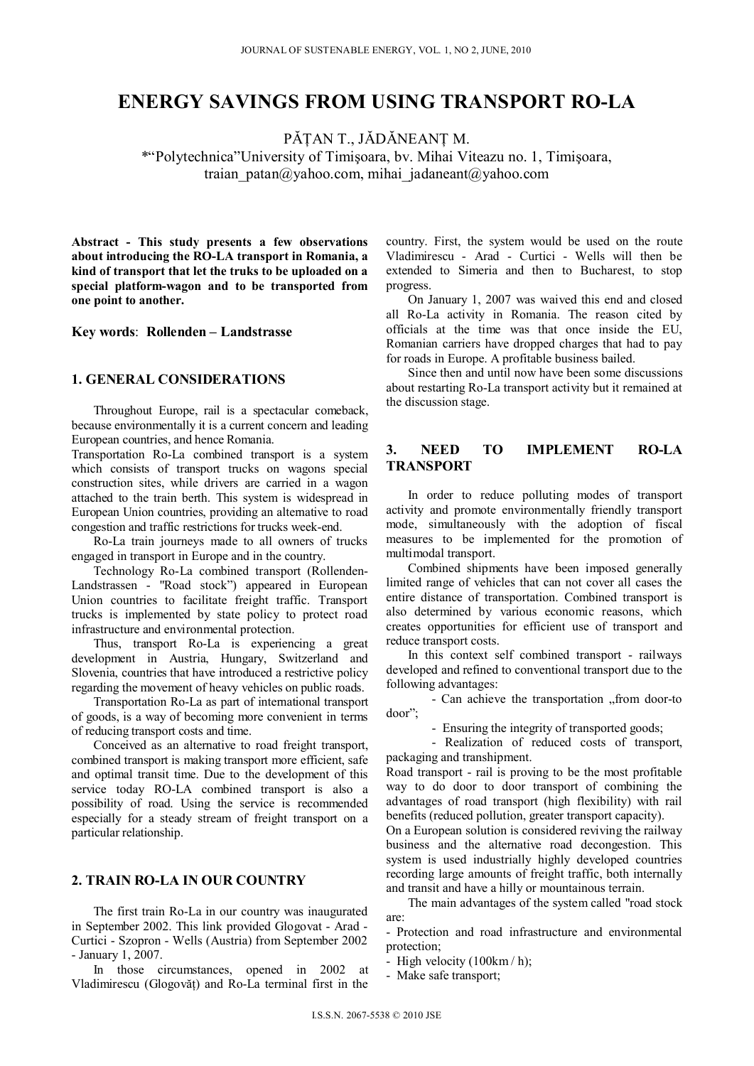# **ENERGY SAVINGS FROM USING TRANSPORT RO-LA**

PĂŢAN T., JĂDĂNEANŢ M.

\*"Polytechnica"University of Timişoara, bv. Mihai Viteazu no. 1, Timişoara, traian\_patan@yahoo.com, mihai\_jadaneant@yahoo.com

**Abstract - This study presents a few observations about introducing the RO-LA transport in Romania, a kind of transport that let the truks to be uploaded on a special platform-wagon and to be transported from one point to another.** 

**Key words**: **Rollenden – Landstrasse** 

#### **1. GENERAL CONSIDERATIONS**

Throughout Europe, rail is a spectacular comeback, because environmentally it is a current concern and leading European countries, and hence Romania.

Transportation Ro-La combined transport is a system which consists of transport trucks on wagons special construction sites, while drivers are carried in a wagon attached to the train berth. This system is widespread in European Union countries, providing an alternative to road congestion and traffic restrictions for trucks week-end.

Ro-La train journeys made to all owners of trucks engaged in transport in Europe and in the country.

Technology Ro-La combined transport (Rollenden-Landstrassen - "Road stock") appeared in European Union countries to facilitate freight traffic. Transport trucks is implemented by state policy to protect road infrastructure and environmental protection.

Thus, transport Ro-La is experiencing a great development in Austria, Hungary, Switzerland and Slovenia, countries that have introduced a restrictive policy regarding the movement of heavy vehicles on public roads.

Transportation Ro-La as part of international transport of goods, is a way of becoming more convenient in terms of reducing transport costs and time.

Conceived as an alternative to road freight transport, combined transport is making transport more efficient, safe and optimal transit time. Due to the development of this service today RO-LA combined transport is also a possibility of road. Using the service is recommended especially for a steady stream of freight transport on a particular relationship.

# **2. TRAIN RO-LA IN OUR COUNTRY**

The first train Ro-La in our country was inaugurated in September 2002. This link provided Glogovat - Arad - Curtici - Szopron - Wells (Austria) from September 2002 - January 1, 2007.

In those circumstances, opened in 2002 at Vladimirescu (Glogovăţ) and Ro-La terminal first in the

country. First, the system would be used on the route Vladimirescu - Arad - Curtici - Wells will then be extended to Simeria and then to Bucharest, to stop progress.

On January 1, 2007 was waived this end and closed all Ro-La activity in Romania. The reason cited by officials at the time was that once inside the EU, Romanian carriers have dropped charges that had to pay for roads in Europe. A profitable business bailed.

Since then and until now have been some discussions about restarting Ro-La transport activity but it remained at the discussion stage.

#### **3. NEED TO IMPLEMENT RO-LA TRANSPORT**

In order to reduce polluting modes of transport activity and promote environmentally friendly transport mode, simultaneously with the adoption of fiscal measures to be implemented for the promotion of multimodal transport.

Combined shipments have been imposed generally limited range of vehicles that can not cover all cases the entire distance of transportation. Combined transport is also determined by various economic reasons, which creates opportunities for efficient use of transport and reduce transport costs.

In this context self combined transport - railways developed and refined to conventional transport due to the following advantages:

- Can achieve the transportation "from door-to door";

- Ensuring the integrity of transported goods;

- Realization of reduced costs of transport, packaging and transhipment.

Road transport - rail is proving to be the most profitable way to do door to door transport of combining the advantages of road transport (high flexibility) with rail benefits (reduced pollution, greater transport capacity).

On a European solution is considered reviving the railway business and the alternative road decongestion. This system is used industrially highly developed countries recording large amounts of freight traffic, both internally and transit and have a hilly or mountainous terrain.

The main advantages of the system called "road stock are:

- Protection and road infrastructure and environmental protection;
- High velocity (100km / h);

- Make safe transport;